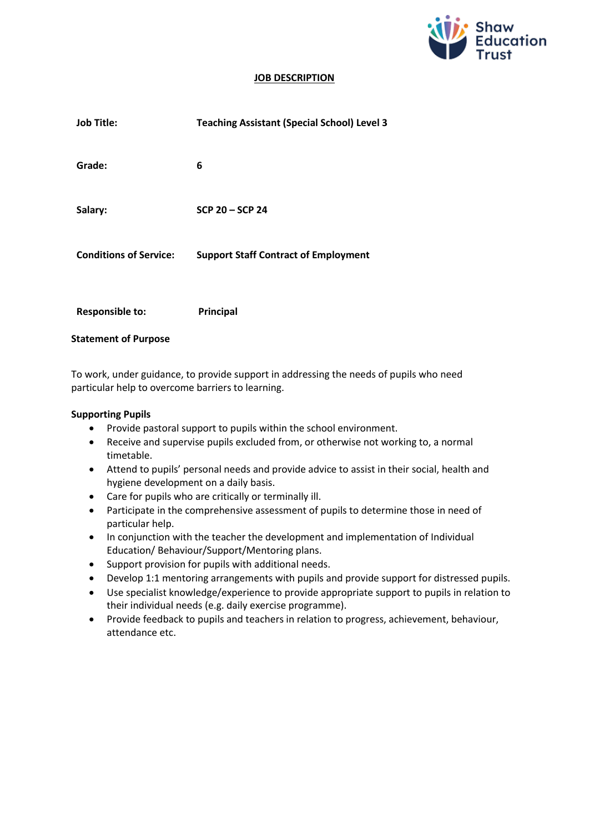

#### **JOB DESCRIPTION**

| <b>Job Title:</b>             | <b>Teaching Assistant (Special School) Level 3</b> |
|-------------------------------|----------------------------------------------------|
| Grade:                        | 6                                                  |
| Salary:                       | SCP 20 - SCP 24                                    |
| <b>Conditions of Service:</b> | <b>Support Staff Contract of Employment</b>        |
| <b>Responsible to:</b>        | Principal                                          |
| <b>Statement of Purpose</b>   |                                                    |

To work, under guidance, to provide support in addressing the needs of pupils who need particular help to overcome barriers to learning.

#### **Supporting Pupils**

- Provide pastoral support to pupils within the school environment.
- Receive and supervise pupils excluded from, or otherwise not working to, a normal timetable.
- Attend to pupils' personal needs and provide advice to assist in their social, health and hygiene development on a daily basis.
- Care for pupils who are critically or terminally ill.
- Participate in the comprehensive assessment of pupils to determine those in need of particular help.
- In conjunction with the teacher the development and implementation of Individual Education/ Behaviour/Support/Mentoring plans.
- Support provision for pupils with additional needs.
- Develop 1:1 mentoring arrangements with pupils and provide support for distressed pupils.
- Use specialist knowledge/experience to provide appropriate support to pupils in relation to their individual needs (e.g. daily exercise programme).
- Provide feedback to pupils and teachers in relation to progress, achievement, behaviour, attendance etc.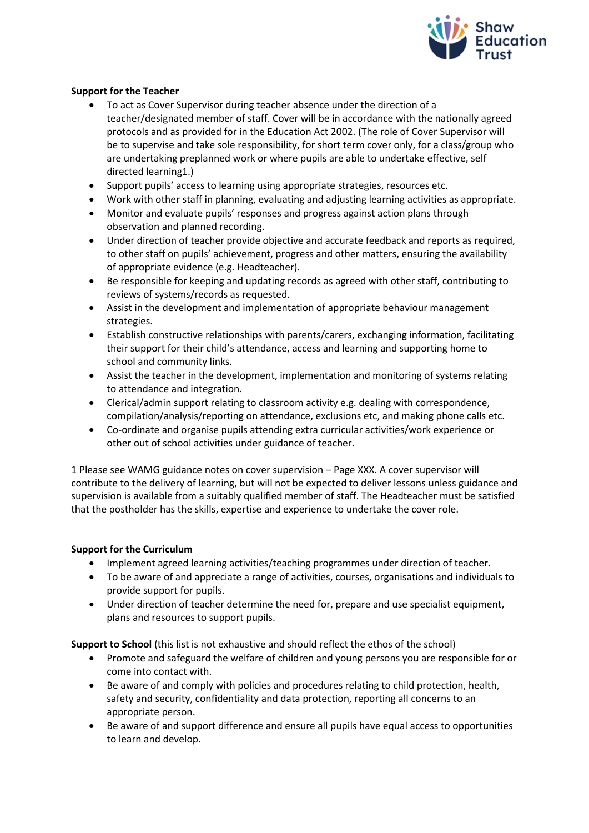

# **Support for the Teacher**

- To act as Cover Supervisor during teacher absence under the direction of a teacher/designated member of staff. Cover will be in accordance with the nationally agreed protocols and as provided for in the Education Act 2002. (The role of Cover Supervisor will be to supervise and take sole responsibility, for short term cover only, for a class/group who are undertaking preplanned work or where pupils are able to undertake effective, self directed learning1.)
- Support pupils' access to learning using appropriate strategies, resources etc.
- Work with other staff in planning, evaluating and adjusting learning activities as appropriate.
- Monitor and evaluate pupils' responses and progress against action plans through observation and planned recording.
- Under direction of teacher provide objective and accurate feedback and reports as required, to other staff on pupils' achievement, progress and other matters, ensuring the availability of appropriate evidence (e.g. Headteacher).
- Be responsible for keeping and updating records as agreed with other staff, contributing to reviews of systems/records as requested.
- Assist in the development and implementation of appropriate behaviour management strategies.
- Establish constructive relationships with parents/carers, exchanging information, facilitating their support for their child's attendance, access and learning and supporting home to school and community links.
- Assist the teacher in the development, implementation and monitoring of systems relating to attendance and integration.
- Clerical/admin support relating to classroom activity e.g. dealing with correspondence, compilation/analysis/reporting on attendance, exclusions etc, and making phone calls etc.
- Co-ordinate and organise pupils attending extra curricular activities/work experience or other out of school activities under guidance of teacher.

1 Please see WAMG guidance notes on cover supervision – Page XXX. A cover supervisor will contribute to the delivery of learning, but will not be expected to deliver lessons unless guidance and supervision is available from a suitably qualified member of staff. The Headteacher must be satisfied that the postholder has the skills, expertise and experience to undertake the cover role.

### **Support for the Curriculum**

- Implement agreed learning activities/teaching programmes under direction of teacher.
- To be aware of and appreciate a range of activities, courses, organisations and individuals to provide support for pupils.
- Under direction of teacher determine the need for, prepare and use specialist equipment, plans and resources to support pupils.

**Support to School** (this list is not exhaustive and should reflect the ethos of the school)

- Promote and safeguard the welfare of children and young persons you are responsible for or come into contact with.
- Be aware of and comply with policies and procedures relating to child protection, health, safety and security, confidentiality and data protection, reporting all concerns to an appropriate person.
- Be aware of and support difference and ensure all pupils have equal access to opportunities to learn and develop.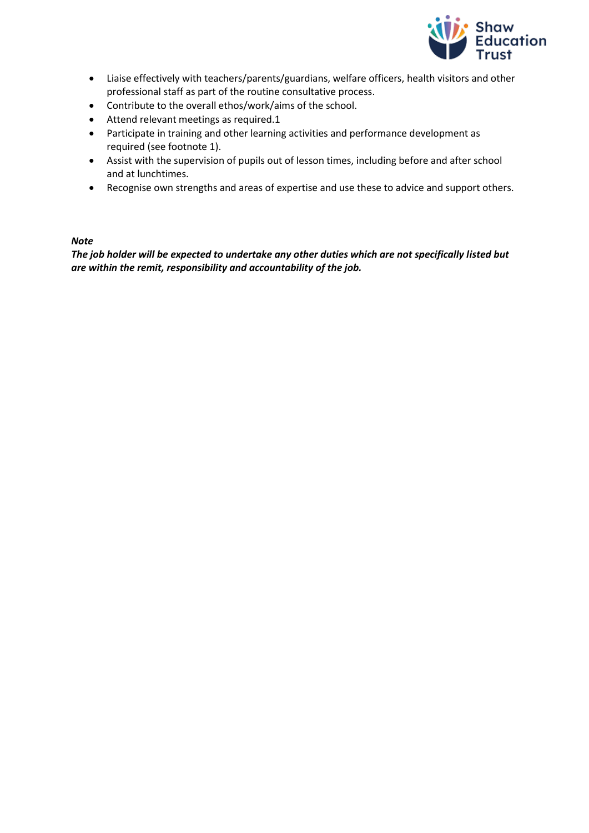

- Liaise effectively with teachers/parents/guardians, welfare officers, health visitors and other professional staff as part of the routine consultative process.
- Contribute to the overall ethos/work/aims of the school.
- Attend relevant meetings as required.1
- Participate in training and other learning activities and performance development as required (see footnote 1).
- Assist with the supervision of pupils out of lesson times, including before and after school and at lunchtimes.
- Recognise own strengths and areas of expertise and use these to advice and support others.

### *Note*

*The job holder will be expected to undertake any other duties which are not specifically listed but are within the remit, responsibility and accountability of the job.*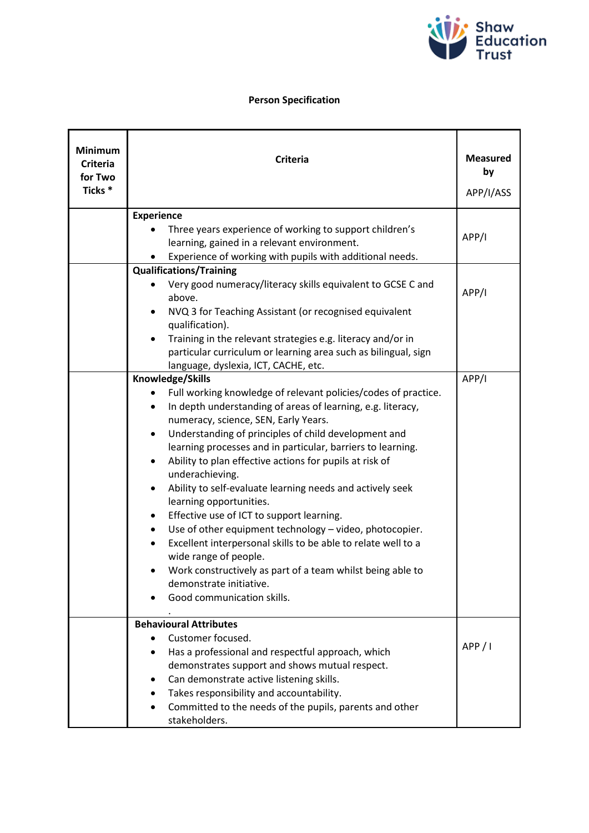

# **Person Specification**

| <b>Minimum</b><br><b>Criteria</b><br>for Two<br>Ticks <sup>*</sup> | <b>Criteria</b>                                                                                                                                                                                                                                                                                                                                                                                                                                                                                                                                                                                                                                                                                                                                                                                                                                      | <b>Measured</b><br>by<br>APP/I/ASS |
|--------------------------------------------------------------------|------------------------------------------------------------------------------------------------------------------------------------------------------------------------------------------------------------------------------------------------------------------------------------------------------------------------------------------------------------------------------------------------------------------------------------------------------------------------------------------------------------------------------------------------------------------------------------------------------------------------------------------------------------------------------------------------------------------------------------------------------------------------------------------------------------------------------------------------------|------------------------------------|
|                                                                    | <b>Experience</b>                                                                                                                                                                                                                                                                                                                                                                                                                                                                                                                                                                                                                                                                                                                                                                                                                                    |                                    |
|                                                                    | Three years experience of working to support children's<br>learning, gained in a relevant environment.<br>Experience of working with pupils with additional needs.                                                                                                                                                                                                                                                                                                                                                                                                                                                                                                                                                                                                                                                                                   | APP/I                              |
|                                                                    | <b>Qualifications/Training</b>                                                                                                                                                                                                                                                                                                                                                                                                                                                                                                                                                                                                                                                                                                                                                                                                                       |                                    |
|                                                                    | Very good numeracy/literacy skills equivalent to GCSE C and<br>above.<br>NVQ 3 for Teaching Assistant (or recognised equivalent                                                                                                                                                                                                                                                                                                                                                                                                                                                                                                                                                                                                                                                                                                                      | APP/I                              |
|                                                                    | qualification).                                                                                                                                                                                                                                                                                                                                                                                                                                                                                                                                                                                                                                                                                                                                                                                                                                      |                                    |
|                                                                    | Training in the relevant strategies e.g. literacy and/or in<br>particular curriculum or learning area such as bilingual, sign<br>language, dyslexia, ICT, CACHE, etc.                                                                                                                                                                                                                                                                                                                                                                                                                                                                                                                                                                                                                                                                                |                                    |
|                                                                    | Knowledge/Skills                                                                                                                                                                                                                                                                                                                                                                                                                                                                                                                                                                                                                                                                                                                                                                                                                                     | APP/I                              |
|                                                                    | Full working knowledge of relevant policies/codes of practice.<br>In depth understanding of areas of learning, e.g. literacy,<br>$\bullet$<br>numeracy, science, SEN, Early Years.<br>Understanding of principles of child development and<br>$\bullet$<br>learning processes and in particular, barriers to learning.<br>Ability to plan effective actions for pupils at risk of<br>$\bullet$<br>underachieving.<br>Ability to self-evaluate learning needs and actively seek<br>learning opportunities.<br>Effective use of ICT to support learning.<br>$\bullet$<br>Use of other equipment technology - video, photocopier.<br>٠<br>Excellent interpersonal skills to be able to relate well to a<br>wide range of people.<br>Work constructively as part of a team whilst being able to<br>demonstrate initiative.<br>Good communication skills. |                                    |
|                                                                    | <b>Behavioural Attributes</b><br>Customer focused.<br>Has a professional and respectful approach, which<br>$\bullet$<br>demonstrates support and shows mutual respect.<br>Can demonstrate active listening skills.<br>Takes responsibility and accountability.<br>Committed to the needs of the pupils, parents and other<br>stakeholders.                                                                                                                                                                                                                                                                                                                                                                                                                                                                                                           | APP / I                            |